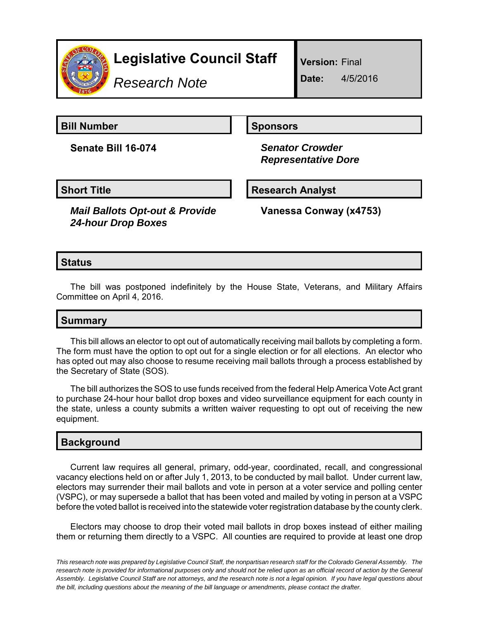

# **Legislative Council Staff**

*Research Note*

**Version:** Final

**Date:** 4/5/2016

**Bill Number Sponsors** 

**Senate Bill 16-074** *Senator Crowder*

 *Representative Dore*

**Short Title Community Community Community Research Analyst** 

*Mail Ballots Opt-out & Provide 24-hour Drop Boxes*

**Vanessa Conway (x4753)**

# **Status**

The bill was postponed indefinitely by the House State, Veterans, and Military Affairs Committee on April 4, 2016.

### **Summary**

This bill allows an elector to opt out of automatically receiving mail ballots by completing a form. The form must have the option to opt out for a single election or for all elections. An elector who has opted out may also choose to resume receiving mail ballots through a process established by the Secretary of State (SOS).

The bill authorizes the SOS to use funds received from the federal Help America Vote Act grant to purchase 24-hour hour ballot drop boxes and video surveillance equipment for each county in the state, unless a county submits a written waiver requesting to opt out of receiving the new equipment.

### **Background**

Current law requires all general, primary, odd-year, coordinated, recall, and congressional vacancy elections held on or after July 1, 2013, to be conducted by mail ballot. Under current law, electors may surrender their mail ballots and vote in person at a voter service and polling center (VSPC), or may supersede a ballot that has been voted and mailed by voting in person at a VSPC before the voted ballot is received into the statewide voter registration database by the county clerk.

Electors may choose to drop their voted mail ballots in drop boxes instead of either mailing them or returning them directly to a VSPC. All counties are required to provide at least one drop

*This research note was prepared by Legislative Council Staff, the nonpartisan research staff for the Colorado General Assembly. The research note is provided for informational purposes only and should not be relied upon as an official record of action by the General Assembly. Legislative Council Staff are not attorneys, and the research note is not a legal opinion. If you have legal questions about the bill, including questions about the meaning of the bill language or amendments, please contact the drafter.*